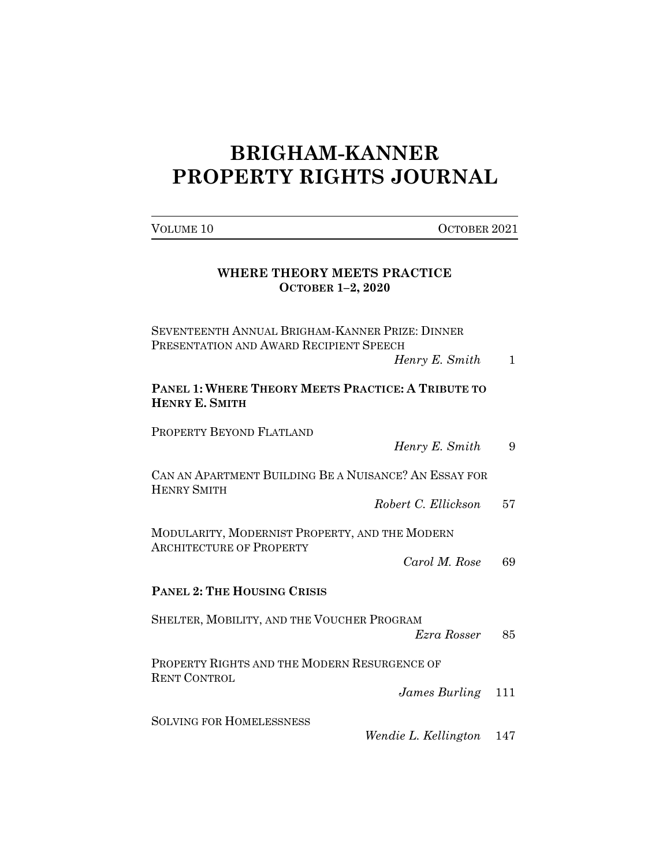## **BRIGHAM-KANNER PROPERTY RIGHTS JOURNAL**

VOLUME 10 OCTOBER 2021

| WHERE THEORY MEETS PRACTICE<br><b>OCTOBER 1-2, 2020</b>                                                      |  |  |  |  |  |
|--------------------------------------------------------------------------------------------------------------|--|--|--|--|--|
| SEVENTEENTH ANNUAL BRIGHAM-KANNER PRIZE: DINNER<br>PRESENTATION AND AWARD RECIPIENT SPEECH<br>Henry E. Smith |  |  |  |  |  |
| <b>PANEL 1: WHERE THEORY MEETS PRACTICE: A TRIBUTE TO</b><br><b>HENRY E. SMITH</b>                           |  |  |  |  |  |

PROPERTY BEYOND FLATLAND

| Henry E. Smith |  |  |  |
|----------------|--|--|--|
|----------------|--|--|--|

CAN AN APARTMENT BUILDING BE A NUISANCE? AN ESSAY FOR HENRY SMITH

*Robert C. Ellickson* 57

MODULARITY, MODERNIST PROPERTY, AND THE MODERN ARCHITECTURE OF PROPERTY

*Carol M. Rose* 69

## **PANEL 2: THE HOUSING CRISIS**

SHELTER, MOBILITY, AND THE VOUCHER PROGRAM *Ezra Rosser* 85

PROPERTY RIGHTS AND THE MODERN RESURGENCE OF RENT CONTROL

*James Burling* 111

SOLVING FOR HOMELESSNESS

*Wendie L. Kellington* 147